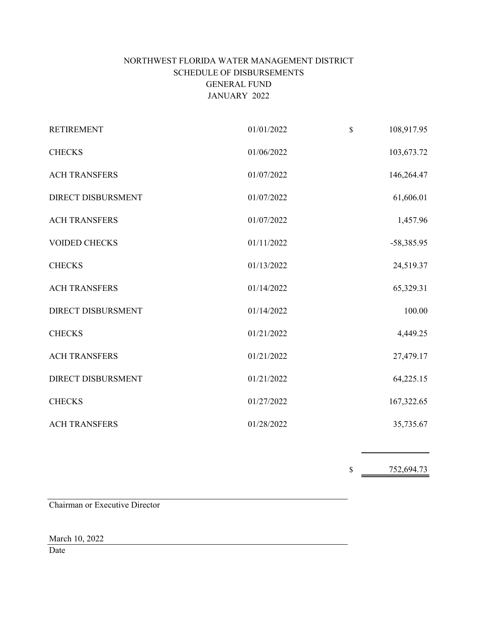# NORTHWEST FLORIDA WATER MANAGEMENT DISTRICT SCHEDULE OF DISBURSEMENTS GENERAL FUND JANUARY 2022

 $\mathcal{A}$ 

| <b>RETIREMENT</b>         | 01/01/2022 | $\mathbb{S}$ | 108,917.95   |
|---------------------------|------------|--------------|--------------|
| <b>CHECKS</b>             | 01/06/2022 |              | 103,673.72   |
| <b>ACH TRANSFERS</b>      | 01/07/2022 |              | 146,264.47   |
| <b>DIRECT DISBURSMENT</b> | 01/07/2022 |              | 61,606.01    |
| <b>ACH TRANSFERS</b>      | 01/07/2022 |              | 1,457.96     |
| <b>VOIDED CHECKS</b>      | 01/11/2022 |              | $-58,385.95$ |
| <b>CHECKS</b>             | 01/13/2022 |              | 24,519.37    |
| <b>ACH TRANSFERS</b>      | 01/14/2022 |              | 65,329.31    |
| <b>DIRECT DISBURSMENT</b> | 01/14/2022 |              | 100.00       |
| <b>CHECKS</b>             | 01/21/2022 |              | 4,449.25     |
| <b>ACH TRANSFERS</b>      | 01/21/2022 |              | 27,479.17    |
| <b>DIRECT DISBURSMENT</b> | 01/21/2022 |              | 64,225.15    |
| <b>CHECKS</b>             | 01/27/2022 |              | 167,322.65   |
| <b>ACH TRANSFERS</b>      | 01/28/2022 |              | 35,735.67    |

 $\frac{752,694.73}{ }$ 

Chairman or Executive Director

March 10, 2022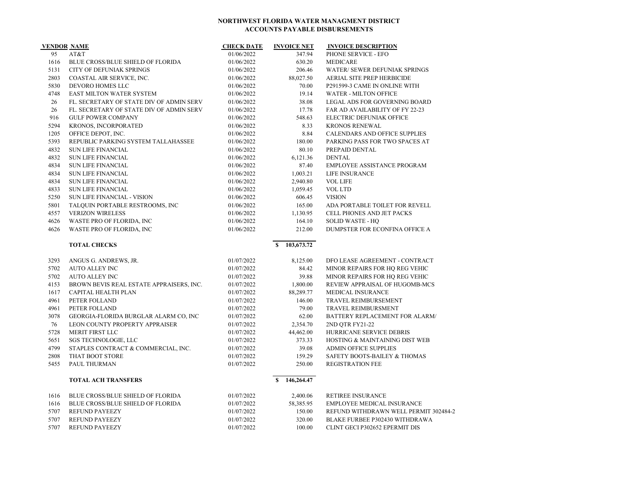| <b>VENDOR NAME</b> |                                          | <b>CHECK DATE</b> | <b>INVOICE NET</b> | <b>INVOICE DESCRIPTION</b>             |
|--------------------|------------------------------------------|-------------------|--------------------|----------------------------------------|
| 95                 | AT&T                                     | 01/06/2022        | 347.94             | PHONE SERVICE - EFO                    |
| 1616               | <b>BLUE CROSS/BLUE SHIELD OF FLORIDA</b> | 01/06/2022        | 630.20             | <b>MEDICARE</b>                        |
| 5131               | <b>CITY OF DEFUNIAK SPRINGS</b>          | 01/06/2022        | 206.46             | WATER/ SEWER DEFUNIAK SPRINGS          |
| 2803               | COASTAL AIR SERVICE, INC.                | 01/06/2022        | 88,027.50          | AERIAL SITE PREP HERBICIDE             |
| 5830               | DEVORO HOMES LLC                         | 01/06/2022        | 70.00              | P291599-3 CAME IN ONLINE WITH          |
| 4748               | <b>EAST MILTON WATER SYSTEM</b>          | 01/06/2022        | 19.14              | <b>WATER - MILTON OFFICE</b>           |
| 26                 | FL. SECRETARY OF STATE DIV OF ADMIN SERV | 01/06/2022        | 38.08              | <b>LEGAL ADS FOR GOVERNING BOARD</b>   |
| 26                 | FL. SECRETARY OF STATE DIV OF ADMIN SERV | 01/06/2022        | 17.78              | <b>FAR AD AVAILABILITY OF FY 22-23</b> |
| 916                | <b>GULF POWER COMPANY</b>                | 01/06/2022        | 548.63             | <b>ELECTRIC DEFUNIAK OFFICE</b>        |
| 5294               | KRONOS, INCORPORATED                     | 01/06/2022        | 8.33               | <b>KRONOS RENEWAL</b>                  |
| 1205               | OFFICE DEPOT, INC.                       | 01/06/2022        | 8.84               | <b>CALENDARS AND OFFICE SUPPLIES</b>   |
| 5393               | REPUBLIC PARKING SYSTEM TALLAHASSEE      | 01/06/2022        | 180.00             | PARKING PASS FOR TWO SPACES AT         |
| 4832               | <b>SUN LIFE FINANCIAL</b>                | 01/06/2022        | 80.10              | PREPAID DENTAL                         |
| 4832               | <b>SUN LIFE FINANCIAL</b>                | 01/06/2022        | 6,121.36           | <b>DENTAL</b>                          |
| 4834               | <b>SUN LIFE FINANCIAL</b>                | 01/06/2022        | 87.40              | <b>EMPLOYEE ASSISTANCE PROGRAM</b>     |
| 4834               | <b>SUN LIFE FINANCIAL</b>                | 01/06/2022        | 1,003.21           | <b>LIFE INSURANCE</b>                  |
| 4834               | <b>SUN LIFE FINANCIAL</b>                | 01/06/2022        | 2,940.80           | <b>VOL LIFE</b>                        |
| 4833               | <b>SUN LIFE FINANCIAL</b>                | 01/06/2022        | 1,059.45           | VOL LTD                                |
| 5250               | <b>SUN LIFE FINANCIAL - VISION</b>       | 01/06/2022        | 606.45             | <b>VISION</b>                          |
| 5801               | TALQUIN PORTABLE RESTROOMS, INC          | 01/06/2022        | 165.00             | ADA PORTABLE TOILET FOR REVELL         |
| 4557               | <b>VERIZON WIRELESS</b>                  | 01/06/2022        | 1,130.95           | CELL PHONES AND JET PACKS              |
| 4626               | WASTE PRO OF FLORIDA, INC                | 01/06/2022        | 164.10             | <b>SOLID WASTE - HO</b>                |
| 4626               | WASTE PRO OF FLORIDA, INC                | 01/06/2022        | 212.00             | DUMPSTER FOR ECONFINA OFFICE A         |

**TOTAL CHECKS \$** 103,673.72

| 3293 | ANGUS G. ANDREWS, JR.                    | 01/07/2022 | 8,125.00         | DFO LEASE AGREEMENT - CONTRACT        |
|------|------------------------------------------|------------|------------------|---------------------------------------|
| 5702 | AUTO ALLEY INC                           | 01/07/2022 | 84.42            | MINOR REPAIRS FOR HO REG VEHIC        |
| 5702 | <b>AUTO ALLEY INC</b>                    | 01/07/2022 | 39.88            | MINOR REPAIRS FOR HO REG VEHIC        |
| 4153 | BROWN BEVIS REAL ESTATE APPRAISERS, INC. | 01/07/2022 | 1,800.00         | REVIEW APPRAISAL OF HUGOMB-MCS        |
| 1617 | CAPITAL HEALTH PLAN                      | 01/07/2022 | 88,289.77        | MEDICAL INSURANCE                     |
| 4961 | PETER FOLLAND                            | 01/07/2022 | 146.00           | <b>TRAVEL REIMBURSEMENT</b>           |
| 4961 | PETER FOLLAND                            | 01/07/2022 | 79.00            | <b>TRAVEL REIMBURSMENT</b>            |
| 3078 | GEORGIA-FLORIDA BURGLAR ALARM CO, INC    | 01/07/2022 | 62.00            | BATTERY REPLACEMENT FOR ALARM/        |
| 76   | LEON COUNTY PROPERTY APPRAISER           | 01/07/2022 | 2,354.70         | 2ND OTR FY21-22                       |
| 5728 | MERIT FIRST LLC                          | 01/07/2022 | 44,462.00        | HURRICANE SERVICE DEBRIS              |
| 5651 | <b>SGS TECHNOLOGIE, LLC</b>              | 01/07/2022 | 373.33           | HOSTING & MAINTAINING DIST WEB        |
| 4799 | STAPLES CONTRACT & COMMERCIAL, INC.      | 01/07/2022 | 39.08            | <b>ADMIN OFFICE SUPPLIES</b>          |
| 2808 | THAT BOOT STORE                          | 01/07/2022 | 159.29           | SAFETY BOOTS-BAILEY & THOMAS          |
| 5455 | PAUL THURMAN                             | 01/07/2022 | 250.00           | <b>REGISTRATION FEE</b>               |
|      | <b>TOTAL ACH TRANSFERS</b>               |            | 146,264.47<br>S. |                                       |
| 1616 | <b>BLUE CROSS/BLUE SHIELD OF FLORIDA</b> | 01/07/2022 | 2,400.06         | <b>RETIREE INSURANCE</b>              |
| 1616 | <b>BLUE CROSS/BLUE SHIELD OF FLORIDA</b> | 01/07/2022 | 58,385.95        | <b>EMPLOYEE MEDICAL INSURANCE</b>     |
| 5707 | <b>REFUND PAYEEZY</b>                    | 01/07/2022 | 150.00           | REFUND WITHDRAWN WELL PERMIT 302484-2 |
| 5707 | <b>REFUND PAYEEZY</b>                    | 01/07/2022 | 320.00           | BLAKE FURBEE P302430 WITHDRAWA        |
| 5707 | <b>REFUND PAYEEZY</b>                    | 01/07/2022 | 100.00           | CLINT GECI P302652 EPERMIT DIS        |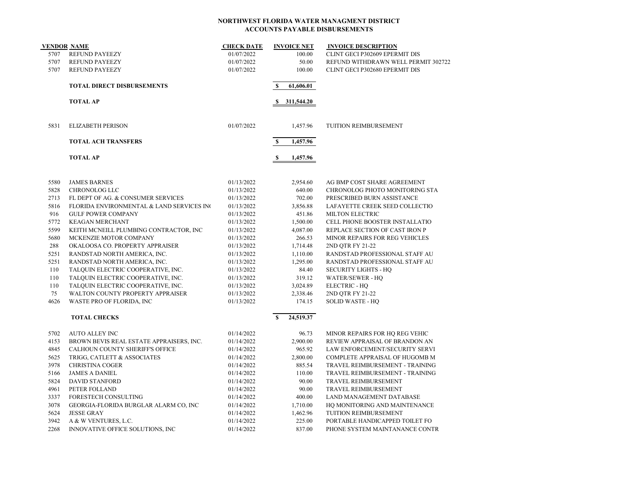| <b>VENDOR NAME</b> |                                           | <b>CHECK DATE</b> | <b>INVOICE NET</b>       | <b>INVOICE DESCRIPTION</b>          |
|--------------------|-------------------------------------------|-------------------|--------------------------|-------------------------------------|
| 5707               | <b>REFUND PAYEEZY</b>                     | 01/07/2022        | 100.00                   | CLINT GECI P302609 EPERMIT DIS      |
| 5707               | REFUND PAYEEZY                            | 01/07/2022        | 50.00                    | REFUND WITHDRAWN WELL PERMIT 302722 |
| 5707               | <b>REFUND PAYEEZY</b>                     | 01/07/2022        | 100.00                   | CLINT GECI P302680 EPERMIT DIS      |
|                    | <b>TOTAL DIRECT DISBURSEMENTS</b>         |                   | S<br>61,606.01           |                                     |
|                    | <b>TOTAL AP</b>                           |                   | 311,544.20<br>S          |                                     |
| 5831               | <b>ELIZABETH PERISON</b>                  | 01/07/2022        | 1,457.96                 | TUITION REIMBURSEMENT               |
|                    | <b>TOTAL ACH TRANSFERS</b>                |                   | S<br>1,457.96            |                                     |
|                    | <b>TOTAL AP</b>                           |                   | $\mathbf{s}$<br>1,457.96 |                                     |
| 5580               | <b>JAMES BARNES</b>                       | 01/13/2022        | 2,954.60                 | AG BMP COST SHARE AGREEMENT         |
| 5828               | CHRONOLOG LLC                             | 01/13/2022        | 640.00                   | CHRONOLOG PHOTO MONITORING STA      |
| 2713               | FL DEPT OF AG. & CONSUMER SERVICES        | 01/13/2022        | 702.00                   | PRESCRIBED BURN ASSISTANCE          |
| 5816               | FLORIDA ENVIRONMENTAL & LAND SERVICES INC | 01/13/2022        | 3,856.88                 | LAFAYETTE CREEK SEED COLLECTIO      |
| 916                | <b>GULF POWER COMPANY</b>                 | 01/13/2022        | 451.86                   | MILTON ELECTRIC                     |
| 5772               | <b>KEAGAN MERCHANT</b>                    | 01/13/2022        | 1,500.00                 | CELL PHONE BOOSTER INSTALLATIO      |
| 5599               | KEITH MCNEILL PLUMBING CONTRACTOR, INC    | 01/13/2022        | 4,087.00                 | REPLACE SECTION OF CAST IRON P      |
| 5680               | MCKENZIE MOTOR COMPANY                    | 01/13/2022        | 266.53                   | MINOR REPAIRS FOR REG VEHICLES      |
| 288                | OKALOOSA CO. PROPERTY APPRAISER           | 01/13/2022        | 1,714.48                 | 2ND QTR FY 21-22                    |
| 5251               | RANDSTAD NORTH AMERICA, INC.              | 01/13/2022        | 1,110.00                 | RANDSTAD PROFESSIONAL STAFF AU      |
| 5251               | RANDSTAD NORTH AMERICA, INC.              | 01/13/2022        | 1,295.00                 | RANDSTAD PROFESSIONAL STAFF AU      |
| 110                | TALQUIN ELECTRIC COOPERATIVE, INC.        | 01/13/2022        | 84.40                    | <b>SECURITY LIGHTS - HQ</b>         |
| 110                | TALQUIN ELECTRIC COOPERATIVE, INC.        | 01/13/2022        | 319.12                   | <b>WATER/SEWER - HQ</b>             |
| 110                | TALQUIN ELECTRIC COOPERATIVE, INC.        | 01/13/2022        | 3,024.89                 | <b>ELECTRIC - HO</b>                |
| 75                 | WALTON COUNTY PROPERTY APPRAISER          | 01/13/2022        | 2,338.46                 | 2ND QTR FY 21-22                    |
| 4626               | WASTE PRO OF FLORIDA, INC                 | 01/13/2022        | 174.15                   | <b>SOLID WASTE - HQ</b>             |
|                    | <b>TOTAL CHECKS</b>                       |                   | <b>S</b><br>24,519.37    |                                     |
| 5702               | <b>AUTO ALLEY INC</b>                     | 01/14/2022        | 96.73                    | MINOR REPAIRS FOR HQ REG VEHIC      |
| 4153               | BROWN BEVIS REAL ESTATE APPRAISERS, INC.  | 01/14/2022        | 2,900.00                 | REVIEW APPRAISAL OF BRANDON AN      |
| 4845               | CALHOUN COUNTY SHERIFF'S OFFICE           | 01/14/2022        | 965.92                   | LAW ENFORCEMENT/SECURITY SERVI      |
| 5625               | TRIGG, CATLETT & ASSOCIATES               | 01/14/2022        | 2,800.00                 | COMPLETE APPRAISAL OF HUGOMB M      |
| 3978               | <b>CHRISTINA COGER</b>                    | 01/14/2022        | 885.54                   | TRAVEL REIMBURSEMENT - TRAINING     |
| 5166               | <b>JAMES A DANIEL</b>                     | 01/14/2022        | 110.00                   | TRAVEL REIMBURSEMENT - TRAINING     |
| 5824               | <b>DAVID STANFORD</b>                     | 01/14/2022        | 90.00                    | TRAVEL REIMBURSEMENT                |
| 4961               | PETER FOLLAND                             | 01/14/2022        | 90.00                    | TRAVEL REIMBURSEMENT                |
| 3337               | FORESTECH CONSULTING                      | 01/14/2022        | 400.00                   | LAND MANAGEMENT DATABASE            |
| 3078               | GEORGIA-FLORIDA BURGLAR ALARM CO, INC     | 01/14/2022        | 1,710.00                 | HQ MONITORING AND MAINTENANCE       |
| 5624               | <b>JESSE GRAY</b>                         | 01/14/2022        | 1,462.96                 | TUITION REIMBURSEMENT               |
| 3942               | A & W VENTURES, L.C.                      | 01/14/2022        | 225.00                   | PORTABLE HANDICAPPED TOILET FO      |
| 2268               | INNOVATIVE OFFICE SOLUTIONS, INC          | 01/14/2022        | 837.00                   | PHONE SYSTEM MAINTANANCE CONTR      |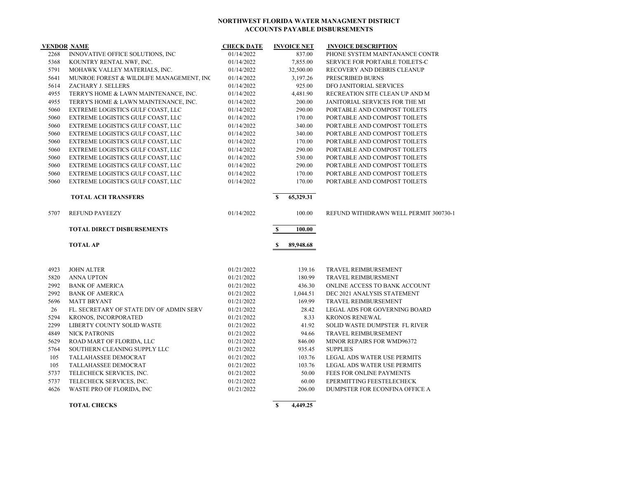|      | <b>VENDOR NAME</b>                       | <b>CHECK DATE</b> | <b>INVOICE NET</b>        | <b>INVOICE DESCRIPTION</b>            |
|------|------------------------------------------|-------------------|---------------------------|---------------------------------------|
| 2268 | INNOVATIVE OFFICE SOLUTIONS, INC         | 01/14/2022        | 837.00                    | PHONE SYSTEM MAINTANANCE CONTR        |
| 5368 | KOUNTRY RENTAL NWF, INC.                 | 01/14/2022        | 7,855.00                  | SERVICE FOR PORTABLE TOILETS-C        |
| 5791 | MOHAWK VALLEY MATERIALS, INC.            | 01/14/2022        | 32,500.00                 | RECOVERY AND DEBRIS CLEANUP           |
| 5641 | MUNROE FOREST & WILDLIFE MANAGEMENT, INC | 01/14/2022        | 3,197.26                  | PRESCRIBED BURNS                      |
| 5614 | ZACHARY J. SELLERS                       | 01/14/2022        | 925.00                    | DFO JANITORIAL SERVICES               |
| 4955 | TERRY'S HOME & LAWN MAINTENANCE, INC.    | 01/14/2022        | 4,481.90                  | RECREATION SITE CLEAN UP AND M        |
| 4955 | TERRY'S HOME & LAWN MAINTENANCE, INC.    | 01/14/2022        | 200.00                    | JANITORIAL SERVICES FOR THE MI        |
| 5060 | EXTREME LOGISTICS GULF COAST, LLC        | 01/14/2022        | 290.00                    | PORTABLE AND COMPOST TOILETS          |
| 5060 | EXTREME LOGISTICS GULF COAST, LLC        | 01/14/2022        | 170.00                    | PORTABLE AND COMPOST TOILETS          |
| 5060 | EXTREME LOGISTICS GULF COAST, LLC        | 01/14/2022        | 340.00                    | PORTABLE AND COMPOST TOILETS          |
| 5060 | EXTREME LOGISTICS GULF COAST, LLC        | 01/14/2022        | 340.00                    | PORTABLE AND COMPOST TOILETS          |
| 5060 | EXTREME LOGISTICS GULF COAST, LLC        | 01/14/2022        | 170.00                    | PORTABLE AND COMPOST TOILETS          |
| 5060 | EXTREME LOGISTICS GULF COAST, LLC        | 01/14/2022        | 290.00                    | PORTABLE AND COMPOST TOILETS          |
| 5060 | EXTREME LOGISTICS GULF COAST, LLC        | 01/14/2022        | 530.00                    | PORTABLE AND COMPOST TOILETS          |
| 5060 | EXTREME LOGISTICS GULF COAST, LLC        | 01/14/2022        | 290.00                    | PORTABLE AND COMPOST TOILETS          |
| 5060 | EXTREME LOGISTICS GULF COAST, LLC        | 01/14/2022        | 170.00                    | PORTABLE AND COMPOST TOILETS          |
| 5060 | EXTREME LOGISTICS GULF COAST, LLC        | 01/14/2022        | 170.00                    | PORTABLE AND COMPOST TOILETS          |
|      | <b>TOTAL ACH TRANSFERS</b>               |                   | $\mathbf{s}$<br>65,329.31 |                                       |
| 5707 | <b>REFUND PAYEEZY</b>                    | 01/14/2022        | 100.00                    | REFUND WITHDRAWN WELL PERMIT 300730-1 |
|      | <b>TOTAL DIRECT DISBURSEMENTS</b>        |                   | S<br>100.00               |                                       |
|      | <b>TOTAL AP</b>                          |                   | 89,948.68<br>S            |                                       |
| 4923 | <b>JOHN ALTER</b>                        | 01/21/2022        | 139.16                    | TRAVEL REIMBURSEMENT                  |
| 5820 | <b>ANNA UPTON</b>                        | 01/21/2022        | 180.99                    | TRAVEL REIMBURSMENT                   |
| 2992 | <b>BANK OF AMERICA</b>                   | 01/21/2022        | 436.30                    | ONLINE ACCESS TO BANK ACCOUNT         |
| 2992 | <b>BANK OF AMERICA</b>                   | 01/21/2022        | 1,044.51                  | DEC 2021 ANALYSIS STATEMENT           |
| 5696 | <b>MATT BRYANT</b>                       | 01/21/2022        | 169.99                    | TRAVEL REIMBURSEMENT                  |
| 26   | FL. SECRETARY OF STATE DIV OF ADMIN SERV | 01/21/2022        | 28.42                     | LEGAL ADS FOR GOVERNING BOARD         |
| 5294 | KRONOS, INCORPORATED                     | 01/21/2022        | 8.33                      | <b>KRONOS RENEWAL</b>                 |
| 2299 | LIBERTY COUNTY SOLID WASTE               | 01/21/2022        | 41.92                     | SOLID WASTE DUMPSTER FL RIVER         |
| 4849 | <b>NICK PATRONIS</b>                     | 01/21/2022        | 94.66                     | TRAVEL REIMBURSEMENT                  |
| 5629 | ROAD MART OF FLORIDA, LLC                | 01/21/2022        | 846.00                    | MINOR REPAIRS FOR WMD96372            |
| 5764 | SOUTHERN CLEANING SUPPLY LLC             | 01/21/2022        | 935.45                    | <b>SUPPLIES</b>                       |
| 105  | TALLAHASSEE DEMOCRAT                     | 01/21/2022        | 103.76                    | LEGAL ADS WATER USE PERMITS           |
| 105  | TALLAHASSEE DEMOCRAT                     | 01/21/2022        | 103.76                    | LEGAL ADS WATER USE PERMITS           |
| 5737 | TELECHECK SERVICES, INC.                 | 01/21/2022        | 50.00                     | FEES FOR ONLINE PAYMENTS              |
| 5737 | TELECHECK SERVICES, INC.                 | 01/21/2022        | 60.00                     | EPERMITTING FEESTELECHECK             |
| 4626 | WASTE PRO OF FLORIDA, INC                | 01/21/2022        | 206.00                    | DUMPSTER FOR ECONFINA OFFICE A        |
|      |                                          |                   |                           |                                       |

**TOTAL CHECKS \$ 4,449.25**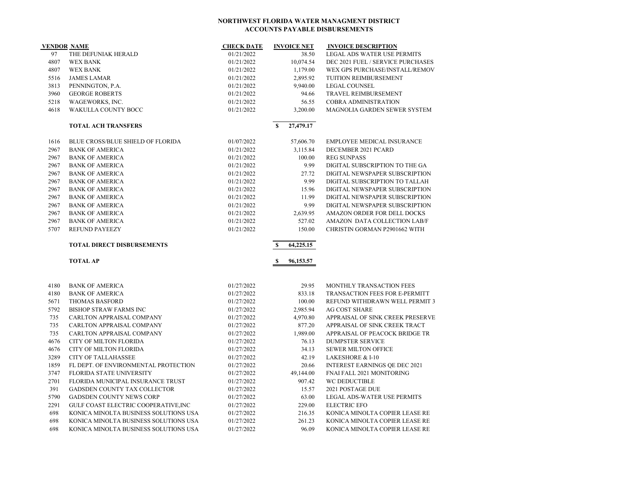|      | <b>VENDOR NAME</b>                       | <b>CHECK DATE</b> | <b>INVOICE NET</b>       | <b>INVOICE DESCRIPTION</b>           |
|------|------------------------------------------|-------------------|--------------------------|--------------------------------------|
| 97   | THE DEFUNIAK HERALD                      | 01/21/2022        | 38.50                    | LEGAL ADS WATER USE PERMITS          |
| 4807 | <b>WEX BANK</b>                          | 01/21/2022        | 10,074.54                | DEC 2021 FUEL / SERVICE PURCHASES    |
| 4807 | <b>WEX BANK</b>                          | 01/21/2022        | 1,179.00                 | WEX GPS PURCHASE/INSTALL/REMOV       |
| 5516 | <b>JAMES LAMAR</b>                       | 01/21/2022        | 2,895.92                 | TUITION REIMBURSEMENT                |
| 3813 | PENNINGTON, P.A.                         | 01/21/2022        | 9,940.00                 | <b>LEGAL COUNSEL</b>                 |
| 3960 | <b>GEORGE ROBERTS</b>                    | 01/21/2022        | 94.66                    | TRAVEL REIMBURSEMENT                 |
| 5218 | WAGEWORKS, INC.                          | 01/21/2022        | 56.55                    | <b>COBRA ADMINISTRATION</b>          |
| 4618 | WAKULLA COUNTY BOCC                      | 01/21/2022        | 3,200.00                 | MAGNOLIA GARDEN SEWER SYSTEM         |
|      |                                          |                   |                          |                                      |
|      | <b>TOTAL ACH TRANSFERS</b>               |                   | $\mathbf S$<br>27,479.17 |                                      |
| 1616 | <b>BLUE CROSS/BLUE SHIELD OF FLORIDA</b> | 01/07/2022        | 57,606.70                | EMPLOYEE MEDICAL INSURANCE           |
| 2967 | <b>BANK OF AMERICA</b>                   | 01/21/2022        | 3,115.84                 | DECEMBER 2021 PCARD                  |
| 2967 | <b>BANK OF AMERICA</b>                   | 01/21/2022        | 100.00                   | <b>REG SUNPASS</b>                   |
| 2967 | <b>BANK OF AMERICA</b>                   | 01/21/2022        | 9.99                     | DIGITAL SUBSCRIPTION TO THE GA       |
| 2967 | <b>BANK OF AMERICA</b>                   | 01/21/2022        | 27.72                    | DIGITAL NEWSPAPER SUBSCRIPTION       |
| 2967 | <b>BANK OF AMERICA</b>                   | 01/21/2022        | 9.99                     | DIGITAL SUBSCRIPTION TO TALLAH       |
| 2967 | <b>BANK OF AMERICA</b>                   | 01/21/2022        | 15.96                    | DIGITAL NEWSPAPER SUBSCRIPTION       |
| 2967 | <b>BANK OF AMERICA</b>                   | 01/21/2022        | 11.99                    | DIGITAL NEWSPAPER SUBSCRIPTION       |
| 2967 | <b>BANK OF AMERICA</b>                   | 01/21/2022        | 9.99                     | DIGITAL NEWSPAPER SUBSCRIPTION       |
| 2967 | <b>BANK OF AMERICA</b>                   | 01/21/2022        | 2,639.95                 | AMAZON ORDER FOR DELL DOCKS          |
| 2967 | <b>BANK OF AMERICA</b>                   | 01/21/2022        | 527.02                   | AMAZON DATA COLLECTION LAB/F         |
| 5707 | <b>REFUND PAYEEZY</b>                    | 01/21/2022        | 150.00                   | CHRISTIN GORMAN P2901662 WITH        |
|      | <b>TOTAL DIRECT DISBURSEMENTS</b>        |                   | \$<br>64,225.15          |                                      |
|      | <b>TOTAL AP</b>                          |                   | 96,153.57<br>S           |                                      |
|      |                                          |                   |                          |                                      |
|      |                                          |                   |                          |                                      |
| 4180 | <b>BANK OF AMERICA</b>                   | 01/27/2022        | 29.95                    | MONTHLY TRANSACTION FEES             |
| 4180 | <b>BANK OF AMERICA</b>                   | 01/27/2022        | 833.18                   | TRANSACTION FEES FOR E-PERMITT       |
| 5671 | <b>THOMAS BASFORD</b>                    | 01/27/2022        | 100.00                   | REFUND WITHDRAWN WELL PERMIT 3       |
| 5792 | <b>BISHOP STRAW FARMS INC</b>            | 01/27/2022        | 2,985.94                 | AG COST SHARE                        |
| 735  | CARLTON APPRAISAL COMPANY                | 01/27/2022        | 4,970.80                 | APPRAISAL OF SINK CREEK PRESERVE     |
| 735  | CARLTON APPRAISAL COMPANY                | 01/27/2022        | 877.20                   | APPRAISAL OF SINK CREEK TRACT        |
| 735  | CARLTON APPRAISAL COMPANY                | 01/27/2022        | 1,989.00                 | APPRAISAL OF PEACOCK BRIDGE TR       |
| 4676 | <b>CITY OF MILTON FLORIDA</b>            | 01/27/2022        | 76.13                    | <b>DUMPSTER SERVICE</b>              |
| 4676 | CITY OF MILTON FLORIDA                   | 01/27/2022        | 34.13                    | <b>SEWER MILTON OFFICE</b>           |
| 3289 | <b>CITY OF TALLAHASSEE</b>               | 01/27/2022        | 42.19                    | LAKESHORE & I-10                     |
| 1859 | FL DEPT. OF ENVIRONMENTAL PROTECTION     | 01/27/2022        | 20.66                    | <b>INTEREST EARNINGS OE DEC 2021</b> |
| 3747 | FLORIDA STATE UNIVERSITY                 | 01/27/2022        | 49,144.00                | FNAI FALL 2021 MONITORING            |
| 2701 | FLORIDA MUNICIPAL INSURANCE TRUST        | 01/27/2022        | 907.42                   | WC DEDUCTIBLE                        |
| 391  | GADSDEN COUNTY TAX COLLECTOR             | 01/27/2022        | 15.57                    | 2021 POSTAGE DUE                     |
| 5790 | <b>GADSDEN COUNTY NEWS CORP</b>          | 01/27/2022        | 63.00                    | LEGAL ADS-WATER USE PERMITS          |
| 2291 | GULF COAST ELECTRIC COOPERATIVE, INC     | 01/27/2022        | 229.00                   | <b>ELECTRIC EFO</b>                  |
| 698  | KONICA MINOLTA BUSINESS SOLUTIONS USA    | 01/27/2022        | 216.35                   | KONICA MINOLTA COPIER LEASE RE       |
| 698  | KONICA MINOLTA BUSINESS SOLUTIONS USA    | 01/27/2022        | 261.23                   | KONICA MINOLTA COPIER LEASE RE       |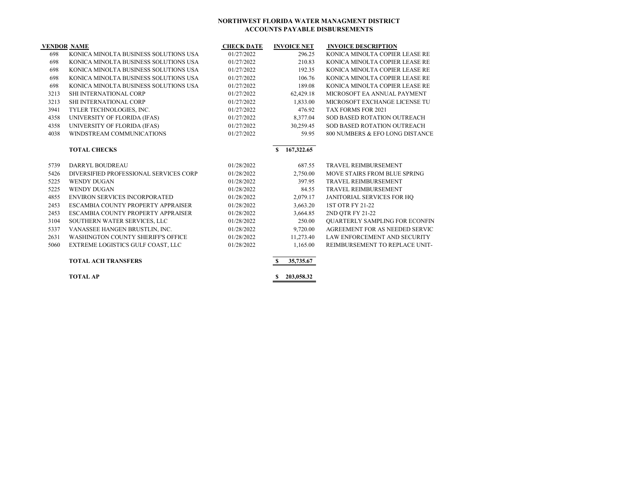| <b>VENDOR NAME</b> |                                        | <b>CHECK DATE</b> | <b>INVOICE NET</b>        | <b>INVOICE DESCRIPTION</b>            |
|--------------------|----------------------------------------|-------------------|---------------------------|---------------------------------------|
| 698                | KONICA MINOLTA BUSINESS SOLUTIONS USA  | 01/27/2022        | 296.25                    | KONICA MINOLTA COPIER LEASE RE        |
| 698                | KONICA MINOLTA BUSINESS SOLUTIONS USA  | 01/27/2022        | 210.83                    | KONICA MINOLTA COPIER LEASE RE        |
| 698                | KONICA MINOLTA BUSINESS SOLUTIONS USA  | 01/27/2022        | 192.35                    | KONICA MINOLTA COPIER LEASE RE        |
| 698                | KONICA MINOLTA BUSINESS SOLUTIONS USA  | 01/27/2022        | 106.76                    | KONICA MINOLTA COPIER LEASE RE        |
| 698                | KONICA MINOLTA BUSINESS SOLUTIONS USA  | 01/27/2022        | 189.08                    | KONICA MINOLTA COPIER LEASE RE        |
| 3213               | SHI INTERNATIONAL CORP                 | 01/27/2022        | 62,429.18                 | MICROSOFT EA ANNUAL PAYMENT           |
| 3213               | SHI INTERNATIONAL CORP                 | 01/27/2022        | 1,833.00                  | MICROSOFT EXCHANGE LICENSE TU         |
| 3941               | TYLER TECHNOLOGIES, INC.               | 01/27/2022        | 476.92                    | TAX FORMS FOR 2021                    |
| 4358               | UNIVERSITY OF FLORIDA (IFAS)           | 01/27/2022        | 8,377.04                  | SOD BASED ROTATION OUTREACH           |
| 4358               | UNIVERSITY OF FLORIDA (IFAS)           | 01/27/2022        | 30,259.45                 | SOD BASED ROTATION OUTREACH           |
| 4038               | WINDSTREAM COMMUNICATIONS              | 01/27/2022        | 59.95                     | 800 NUMBERS & EFO LONG DISTANCE       |
|                    | <b>TOTAL CHECKS</b>                    |                   | 167,322.65<br>-S          |                                       |
| 5739               | DARRYL BOUDREAU                        | 01/28/2022        | 687.55                    | <b>TRAVEL REIMBURSEMENT</b>           |
| 5426               | DIVERSIFIED PROFESSIONAL SERVICES CORP | 01/28/2022        | 2,750.00                  | MOVE STAIRS FROM BLUE SPRING          |
| 5225               | <b>WENDY DUGAN</b>                     | 01/28/2022        | 397.95                    | <b>TRAVEL REIMBURSEMENT</b>           |
| 5225               | <b>WENDY DUGAN</b>                     | 01/28/2022        | 84.55                     | TRAVEL REIMBURSEMENT                  |
| 4855               | <b>ENVIRON SERVICES INCORPORATED</b>   | 01/28/2022        | 2,079.17                  | JANITORIAL SERVICES FOR HQ            |
| 2453               | ESCAMBIA COUNTY PROPERTY APPRAISER     | 01/28/2022        | 3,663.20                  | 1ST OTR FY 21-22                      |
| 2453               | ESCAMBIA COUNTY PROPERTY APPRAISER     | 01/28/2022        | 3,664.85                  | 2ND OTR FY 21-22                      |
| 3104               | SOUTHERN WATER SERVICES, LLC           | 01/28/2022        | 250.00                    | <b>OUARTERLY SAMPLING FOR ECONFIN</b> |
| 5337               | VANASSEE HANGEN BRUSTLIN, INC.         | 01/28/2022        | 9,720.00                  | AGREEMENT FOR AS NEEDED SERVIC        |
| 2631               | WASHINGTON COUNTY SHERIFF'S OFFICE     | 01/28/2022        | 11,273.40                 | LAW ENFORCEMENT AND SECURITY          |
| 5060               | EXTREME LOGISTICS GULF COAST, LLC      | 01/28/2022        | 1,165.00                  | REIMBURSEMENT TO REPLACE UNIT-        |
|                    | <b>TOTAL ACH TRANSFERS</b>             |                   | $\mathbf{s}$<br>35,735.67 |                                       |
|                    | <b>TOTAL AP</b>                        |                   | 203,058.32                |                                       |